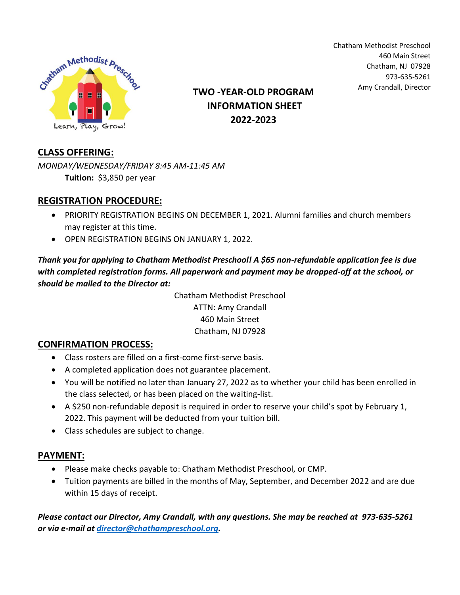

Chatham Methodist Preschool 460 Main Street Chatham, NJ 07928 973-635-5261

# Amy Crandall, Director **TWO -YEAR-OLD PROGRAM INFORMATION SHEET 2022-2023**

## **CLASS OFFERING:**

*MONDAY/WEDNESDAY/FRIDAY 8:45 AM-11:45 AM* **Tuition:** \$3,850 per year

## **REGISTRATION PROCEDURE:**

- PRIORITY REGISTRATION BEGINS ON DECEMBER 1, 2021. Alumni families and church members may register at this time.
- OPEN REGISTRATION BEGINS ON JANUARY 1, 2022.

*Thank you for applying to Chatham Methodist Preschool! A \$65 non-refundable application fee is due with completed registration forms. All paperwork and payment may be dropped-off at the school, or should be mailed to the Director at:*

> Chatham Methodist Preschool ATTN: Amy Crandall 460 Main Street Chatham, NJ 07928

### **CONFIRMATION PROCESS:**

- Class rosters are filled on a first-come first-serve basis.
- A completed application does not guarantee placement.
- You will be notified no later than January 27, 2022 as to whether your child has been enrolled in the class selected, or has been placed on the waiting-list.
- A \$250 non-refundable deposit is required in order to reserve your child's spot by February 1, 2022. This payment will be deducted from your tuition bill.
- Class schedules are subject to change.

### **PAYMENT:**

- Please make checks payable to: Chatham Methodist Preschool, or CMP.
- Tuition payments are billed in the months of May, September, and December 2022 and are due within 15 days of receipt.

*Please contact our Director, Amy Crandall, with any questions. She may be reached at 973-635-5261 or via e-mail at [director@chathampreschool.org.](mailto:director@chathampreschool.org)*